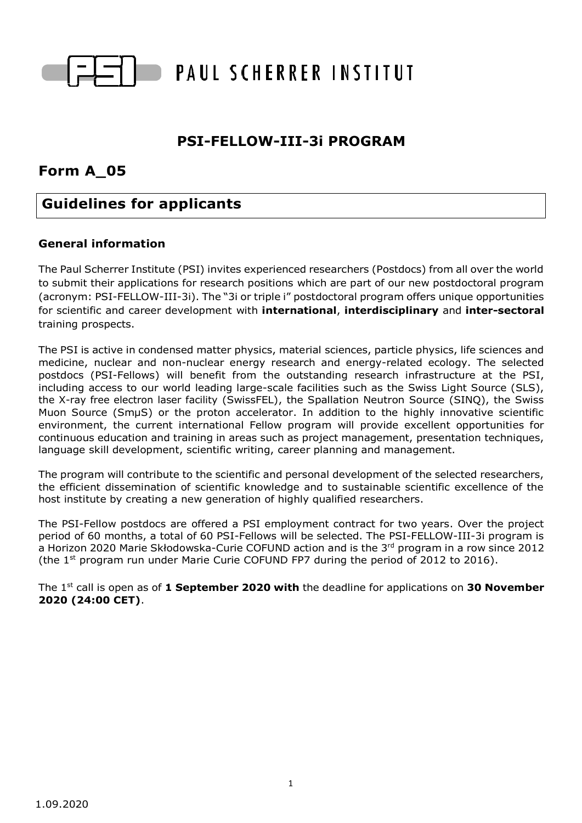

# **PSI-FELLOW-III-3i PROGRAM**

# **Form A\_05**

# **Guidelines for applicants**

# **General information**

The Paul Scherrer Institute (PSI) invites experienced researchers (Postdocs) from all over the world to submit their applications for research positions which are part of our new postdoctoral program (acronym: PSI-FELLOW-III-3i). The "3i or triple i" postdoctoral program offers unique opportunities for scientific and career development with **international**, **interdisciplinary** and **inter-sectoral** training prospects.

The PSI is active in condensed matter physics, material sciences, particle physics, life sciences and medicine, nuclear and non-nuclear energy research and energy-related ecology. The selected postdocs (PSI-Fellows) will benefit from the outstanding research infrastructure at the PSI, including access to our world leading large-scale facilities such as the Swiss Light Source (SLS), the X-ray free electron laser facility (SwissFEL), the Spallation Neutron Source (SINQ), the Swiss Muon Source (SmµS) or the proton accelerator. In addition to the highly innovative scientific environment, the current international Fellow program will provide excellent opportunities for continuous education and training in areas such as project management, presentation techniques, language skill development, scientific writing, career planning and management.

The program will contribute to the scientific and personal development of the selected researchers, the efficient dissemination of scientific knowledge and to sustainable scientific excellence of the host institute by creating a new generation of highly qualified researchers.

The PSI-Fellow postdocs are offered a PSI employment contract for two years. Over the project period of 60 months, a total of 60 PSI-Fellows will be selected. The PSI-FELLOW-III-3i program is a Horizon 2020 Marie Skłodowska-Curie COFUND action and is the 3<sup>rd</sup> program in a row since 2012 (the  $1<sup>st</sup>$  program run under Marie Curie COFUND FP7 during the period of 2012 to 2016).

The 1 st call is open as of **1 September 2020 with** the deadline for applications on **30 November 2020 (24:00 CET)**.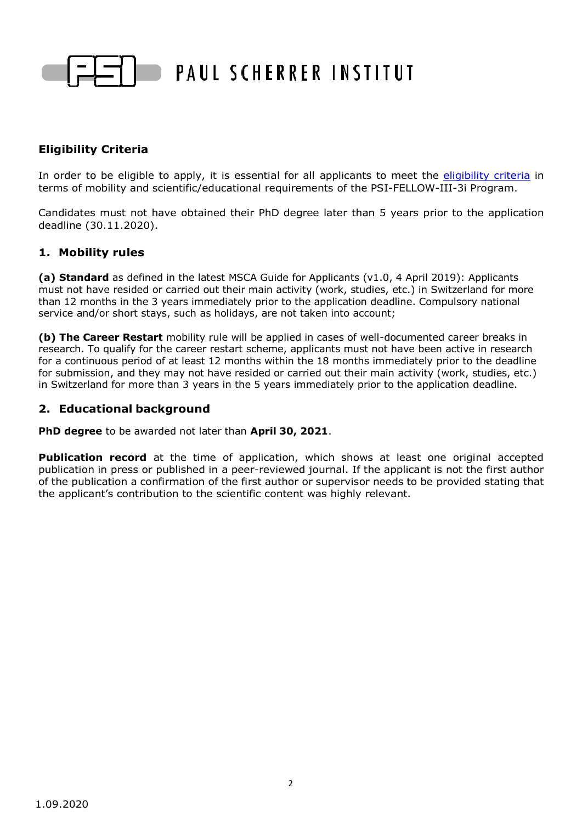

# **Eligibility Criteria**

In order to be eligible to apply, it is essential for all applicants to meet the [eligibility criteria](http://www.psi.ch/psi-fellow/eligibility-criteria) in terms of mobility and scientific/educational requirements of the PSI-FELLOW-III-3i Program.

Candidates must not have obtained their PhD degree later than 5 years prior to the application deadline (30.11.2020).

#### **1. Mobility rules**

**(a) Standard** as defined in the latest MSCA Guide for Applicants (v1.0, 4 April 2019): Applicants must not have resided or carried out their main activity (work, studies, etc.) in Switzerland for more than 12 months in the 3 years immediately prior to the application deadline. Compulsory national service and/or short stays, such as holidays, are not taken into account;

**(b) The Career Restart** mobility rule will be applied in cases of well-documented career breaks in research. To qualify for the career restart scheme, applicants must not have been active in research for a continuous period of at least 12 months within the 18 months immediately prior to the deadline for submission, and they may not have resided or carried out their main activity (work, studies, etc.) in Switzerland for more than 3 years in the 5 years immediately prior to the application deadline.

#### **2. Educational background**

**PhD degree** to be awarded not later than **April 30, 2021**.

**Publication record** at the time of application, which shows at least one original accepted publication in press or published in a peer-reviewed journal. If the applicant is not the first author of the publication a confirmation of the first author or supervisor needs to be provided stating that the applicant's contribution to the scientific content was highly relevant.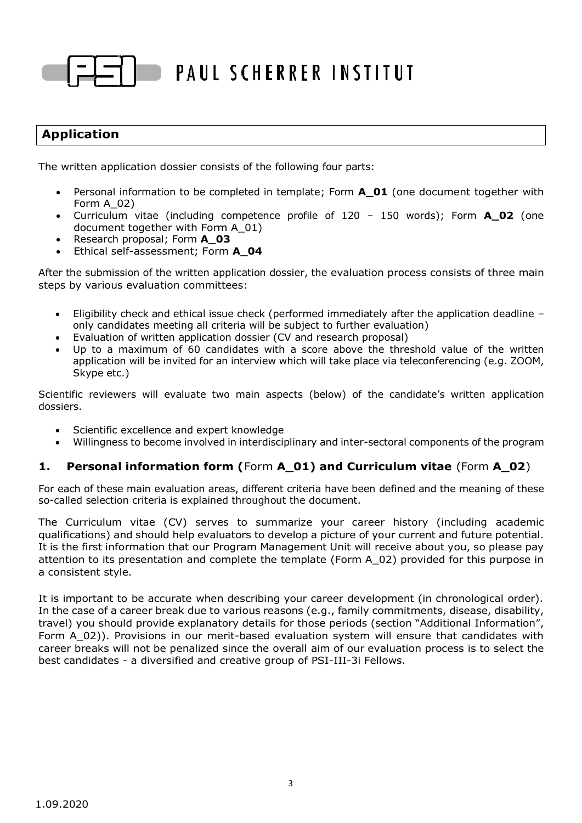# **Application**

The written application dossier consists of the following four parts:

- Personal information to be completed in template; Form **A\_01** (one document together with Form A\_02)
- Curriculum vitae (including competence profile of 120 150 words); Form **A\_02** (one document together with Form A\_01)
- Research proposal; Form **A\_03**
- Ethical self-assessment; Form **A\_04**

After the submission of the written application dossier, the evaluation process consists of three main steps by various evaluation committees:

- Eligibility check and ethical issue check (performed immediately after the application deadline only candidates meeting all criteria will be subject to further evaluation)
- Evaluation of written application dossier (CV and research proposal)
- Up to a maximum of 60 candidates with a score above the threshold value of the written application will be invited for an interview which will take place via teleconferencing (e.g. ZOOM, Skype etc.)

Scientific reviewers will evaluate two main aspects (below) of the candidate's written application dossiers.

- Scientific excellence and expert knowledge
- Willingness to become involved in interdisciplinary and inter-sectoral components of the program

## **1. Personal information form (**Form **A\_01) and Curriculum vitae** (Form **A\_02**)

For each of these main evaluation areas, different criteria have been defined and the meaning of these so-called selection criteria is explained throughout the document.

The Curriculum vitae (CV) serves to summarize your career history (including academic qualifications) and should help evaluators to develop a picture of your current and future potential. It is the first information that our Program Management Unit will receive about you, so please pay attention to its presentation and complete the template (Form A\_02) provided for this purpose in a consistent style.

It is important to be accurate when describing your career development (in chronological order). In the case of a career break due to various reasons (e.g., family commitments, disease, disability, travel) you should provide explanatory details for those periods (section "Additional Information", Form A\_02)). Provisions in our merit-based evaluation system will ensure that candidates with career breaks will not be penalized since the overall aim of our evaluation process is to select the best candidates - a diversified and creative group of PSI-III-3i Fellows.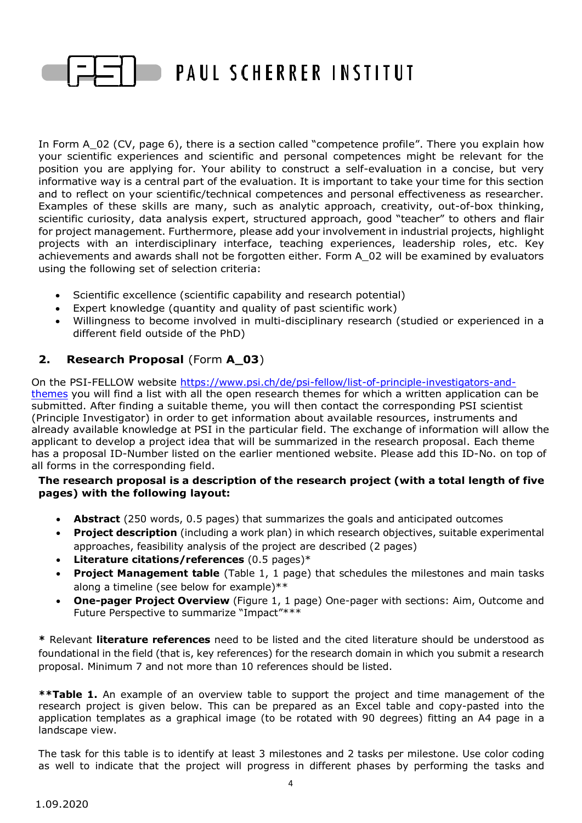

In Form A\_02 (CV, page 6), there is a section called "competence profile". There you explain how your scientific experiences and scientific and personal competences might be relevant for the position you are applying for. Your ability to construct a self-evaluation in a concise, but very informative way is a central part of the evaluation. It is important to take your time for this section and to reflect on your scientific/technical competences and personal effectiveness as researcher. Examples of these skills are many, such as analytic approach, creativity, out-of-box thinking, scientific curiosity, data analysis expert, structured approach, good "teacher" to others and flair for project management. Furthermore, please add your involvement in industrial projects, highlight projects with an interdisciplinary interface, teaching experiences, leadership roles, etc. Key achievements and awards shall not be forgotten either. Form A\_02 will be examined by evaluators using the following set of selection criteria:

- Scientific excellence (scientific capability and research potential)
- Expert knowledge (quantity and quality of past scientific work)
- Willingness to become involved in multi-disciplinary research (studied or experienced in a different field outside of the PhD)

# **2. Research Proposal** (Form **A\_03**)

On the PSI-FELLOW website [https://www.psi.ch/de/psi-fellow/list-of-principle-investigators-and](https://www.psi.ch/de/psi-fellow/list-of-principle-investigators-and-themes)[themes](https://www.psi.ch/de/psi-fellow/list-of-principle-investigators-and-themes) you will find a list with all the open research themes for which a written application can be submitted. After finding a suitable theme, you will then contact the corresponding PSI scientist (Principle Investigator) in order to get information about available resources, instruments and already available knowledge at PSI in the particular field. The exchange of information will allow the applicant to develop a project idea that will be summarized in the research proposal. Each theme has a proposal ID-Number listed on the earlier mentioned website. Please add this ID-No. on top of all forms in the corresponding field.

#### **The research proposal is a description of the research project (with a total length of five pages) with the following layout:**

- **Abstract** (250 words, 0.5 pages) that summarizes the goals and anticipated outcomes
- **Project description** (including a work plan) in which research objectives, suitable experimental approaches, feasibility analysis of the project are described (2 pages)
- **Literature citations/references** (0.5 pages)\*
- **Project Management table** (Table 1, 1 page) that schedules the milestones and main tasks along a timeline (see below for example)\*\*
- **One-pager Project Overview** (Figure 1, 1 page) One-pager with sections: Aim, Outcome and Future Perspective to summarize "Impact"\*\*\*

**\*** Relevant **literature references** need to be listed and the cited literature should be understood as foundational in the field (that is, key references) for the research domain in which you submit a research proposal. Minimum 7 and not more than 10 references should be listed.

**\*\*Table 1.** An example of an overview table to support the project and time management of the research project is given below. This can be prepared as an Excel table and copy-pasted into the application templates as a graphical image (to be rotated with 90 degrees) fitting an A4 page in a landscape view.

The task for this table is to identify at least 3 milestones and 2 tasks per milestone. Use color coding as well to indicate that the project will progress in different phases by performing the tasks and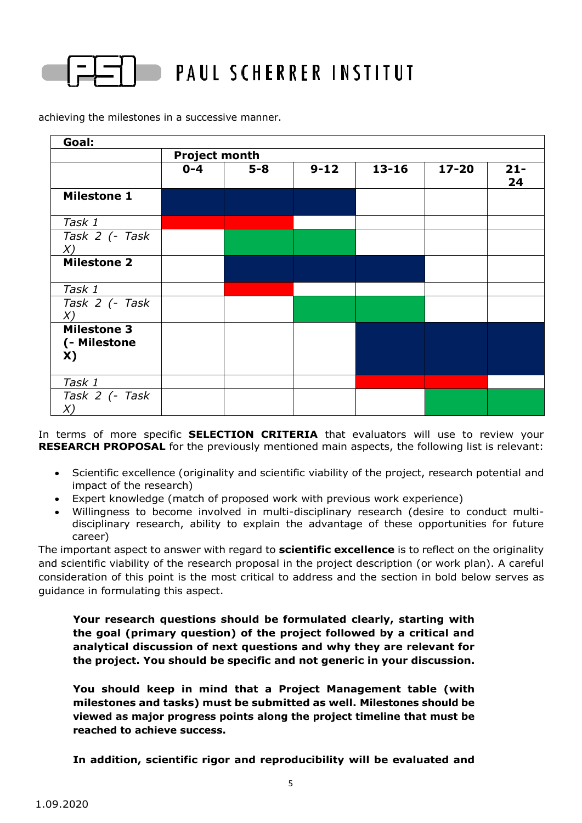

achieving the milestones in a successive manner.

| Goal:                                    |                      |       |          |           |           |              |  |
|------------------------------------------|----------------------|-------|----------|-----------|-----------|--------------|--|
|                                          | <b>Project month</b> |       |          |           |           |              |  |
|                                          | $0 - 4$              | $5-8$ | $9 - 12$ | $13 - 16$ | $17 - 20$ | $21 -$<br>24 |  |
| <b>Milestone 1</b>                       |                      |       |          |           |           |              |  |
| Task 1                                   |                      |       |          |           |           |              |  |
| Task 2 (- Task<br>X)                     |                      |       |          |           |           |              |  |
| <b>Milestone 2</b>                       |                      |       |          |           |           |              |  |
| Task 1                                   |                      |       |          |           |           |              |  |
| Task 2 (- Task<br>X)                     |                      |       |          |           |           |              |  |
| <b>Milestone 3</b><br>(- Milestone<br>X) |                      |       |          |           |           |              |  |
| Task 1                                   |                      |       |          |           |           |              |  |
| Task 2 (- Task<br>X)                     |                      |       |          |           |           |              |  |

In terms of more specific **SELECTION CRITERIA** that evaluators will use to review your **RESEARCH PROPOSAL** for the previously mentioned main aspects, the following list is relevant:

- Scientific excellence (originality and scientific viability of the project, research potential and impact of the research)
- Expert knowledge (match of proposed work with previous work experience)
- Willingness to become involved in multi-disciplinary research (desire to conduct multidisciplinary research, ability to explain the advantage of these opportunities for future career)

The important aspect to answer with regard to **scientific excellence** is to reflect on the originality and scientific viability of the research proposal in the project description (or work plan). A careful consideration of this point is the most critical to address and the section in bold below serves as guidance in formulating this aspect.

**Your research questions should be formulated clearly, starting with the goal (primary question) of the project followed by a critical and analytical discussion of next questions and why they are relevant for the project. You should be specific and not generic in your discussion.**

**You should keep in mind that a Project Management table (with milestones and tasks) must be submitted as well. Milestones should be viewed as major progress points along the project timeline that must be reached to achieve success.**

**In addition, scientific rigor and reproducibility will be evaluated and**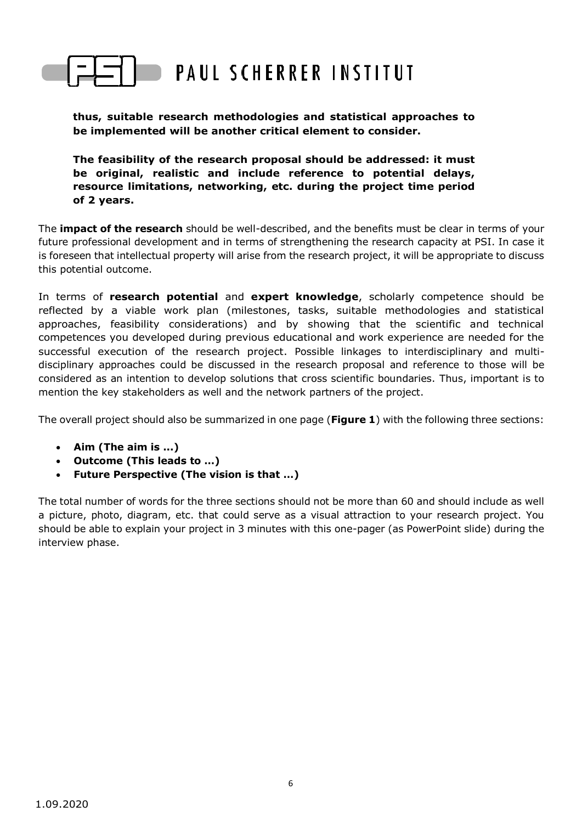#### **thus, suitable research methodologies and statistical approaches to be implemented will be another critical element to consider.**

**The feasibility of the research proposal should be addressed: it must be original, realistic and include reference to potential delays, resource limitations, networking, etc. during the project time period of 2 years.**

The **impact of the research** should be well-described, and the benefits must be clear in terms of your future professional development and in terms of strengthening the research capacity at PSI. In case it is foreseen that intellectual property will arise from the research project, it will be appropriate to discuss this potential outcome.

In terms of **research potential** and **expert knowledge**, scholarly competence should be reflected by a viable work plan (milestones, tasks, suitable methodologies and statistical approaches, feasibility considerations) and by showing that the scientific and technical competences you developed during previous educational and work experience are needed for the successful execution of the research project. Possible linkages to interdisciplinary and multidisciplinary approaches could be discussed in the research proposal and reference to those will be considered as an intention to develop solutions that cross scientific boundaries. Thus, important is to mention the key stakeholders as well and the network partners of the project.

The overall project should also be summarized in one page (**Figure 1**) with the following three sections:

- **Aim (The aim is ...)**
- **Outcome (This leads to …)**
- **Future Perspective (The vision is that …)**

The total number of words for the three sections should not be more than 60 and should include as well a picture, photo, diagram, etc. that could serve as a visual attraction to your research project. You should be able to explain your project in 3 minutes with this one-pager (as PowerPoint slide) during the interview phase.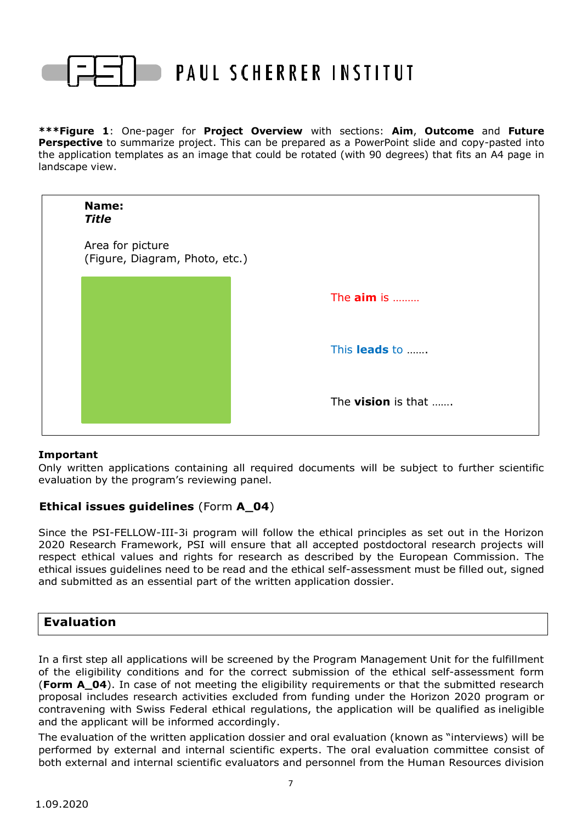

**\*\*\*Figure 1**: One-pager for **Project Overview** with sections: **Aim**, **Outcome** and **Future Perspective** to summarize project. This can be prepared as a PowerPoint slide and copy-pasted into the application templates as an image that could be rotated (with 90 degrees) that fits an A4 page in landscape view.



#### **Important**

Only written applications containing all required documents will be subject to further scientific evaluation by the program's reviewing panel.

## **Ethical issues guidelines** (Form **A\_04**)

Since the PSI-FELLOW-III-3i program will follow the ethical principles as set out in the Horizon 2020 Research Framework, PSI will ensure that all accepted postdoctoral research projects will respect ethical values and rights for research as described by the European Commission. The ethical issues guidelines need to be read and the ethical self-assessment must be filled out, signed and submitted as an essential part of the written application dossier.

# **Evaluation**

In a first step all applications will be screened by the Program Management Unit for the fulfillment of the eligibility conditions and for the correct submission of the ethical self-assessment form (**Form A\_04**). In case of not meeting the eligibility requirements or that the submitted research proposal includes research activities excluded from funding under the Horizon 2020 program or contravening with Swiss Federal ethical regulations, the application will be qualified as ineligible and the applicant will be informed accordingly.

The evaluation of the written application dossier and oral evaluation (known as "interviews) will be performed by external and internal scientific experts. The oral evaluation committee consist of both external and internal scientific evaluators and personnel from the Human Resources division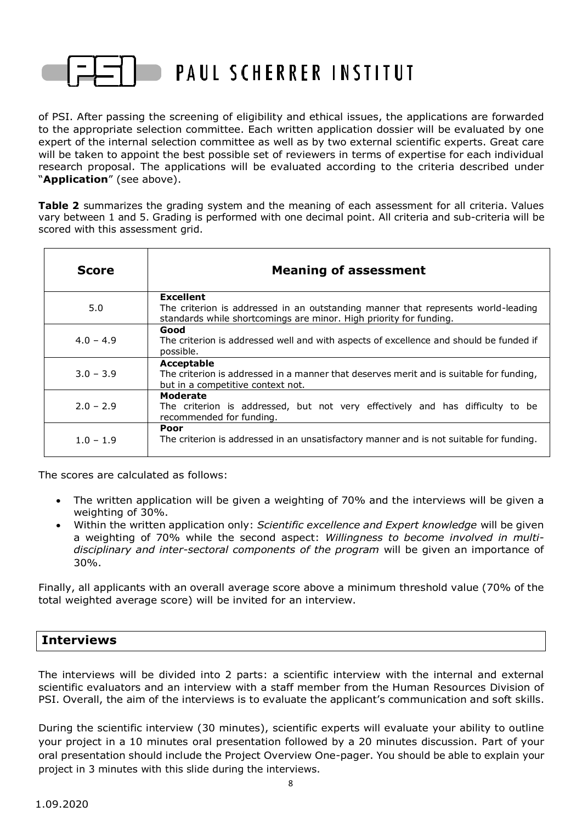

of PSI. After passing the screening of eligibility and ethical issues, the applications are forwarded to the appropriate selection committee. Each written application dossier will be evaluated by one expert of the internal selection committee as well as by two external scientific experts. Great care will be taken to appoint the best possible set of reviewers in terms of expertise for each individual research proposal. The applications will be evaluated according to the criteria described under "**Application**" (see above).

**Table 2** summarizes the grading system and the meaning of each assessment for all criteria. Values vary between 1 and 5. Grading is performed with one decimal point. All criteria and sub-criteria will be scored with this assessment grid.

| <b>Score</b> | <b>Meaning of assessment</b>                                                                                                                                                |  |  |  |
|--------------|-----------------------------------------------------------------------------------------------------------------------------------------------------------------------------|--|--|--|
| 5.0          | <b>Excellent</b><br>The criterion is addressed in an outstanding manner that represents world-leading<br>standards while shortcomings are minor. High priority for funding. |  |  |  |
| $4.0 - 4.9$  | Good<br>The criterion is addressed well and with aspects of excellence and should be funded if<br>possible.                                                                 |  |  |  |
| $3.0 - 3.9$  | Acceptable<br>The criterion is addressed in a manner that deserves merit and is suitable for funding,<br>but in a competitive context not.                                  |  |  |  |
| $2.0 - 2.9$  | Moderate<br>The criterion is addressed, but not very effectively and has difficulty to be<br>recommended for funding.                                                       |  |  |  |
| $1.0 - 1.9$  | Poor<br>The criterion is addressed in an unsatisfactory manner and is not suitable for funding.                                                                             |  |  |  |

The scores are calculated as follows:

- The written application will be given a weighting of 70% and the interviews will be given a weighting of 30%.
- Within the written application only: *Scientific excellence and Expert knowledge* will be given a weighting of 70% while the second aspect: *Willingness to become involved in multidisciplinary and inter-sectoral components of the program* will be given an importance of 30%.

Finally, all applicants with an overall average score above a minimum threshold value (70% of the total weighted average score) will be invited for an interview.

# **Interviews**

The interviews will be divided into 2 parts: a scientific interview with the internal and external scientific evaluators and an interview with a staff member from the Human Resources Division of PSI. Overall, the aim of the interviews is to evaluate the applicant's communication and soft skills.

During the scientific interview (30 minutes), scientific experts will evaluate your ability to outline your project in a 10 minutes oral presentation followed by a 20 minutes discussion. Part of your oral presentation should include the Project Overview One-pager. You should be able to explain your project in 3 minutes with this slide during the interviews.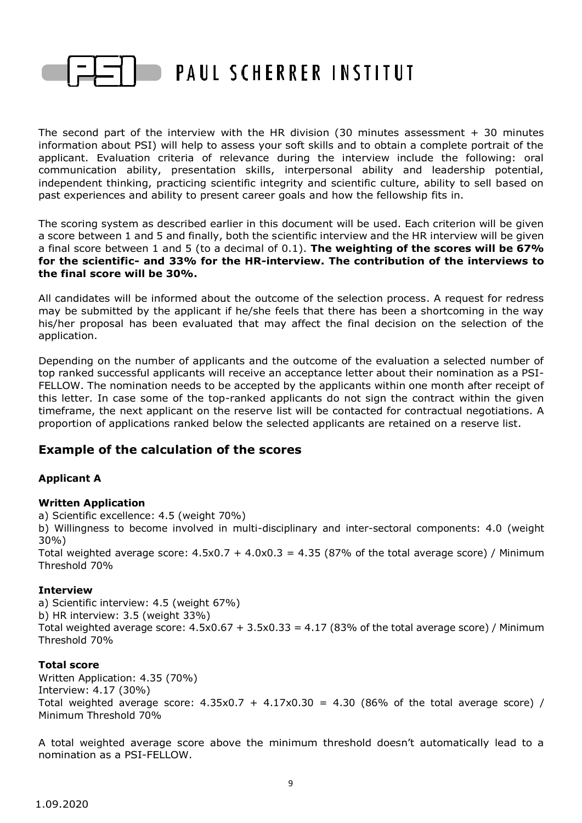

The second part of the interview with the HR division (30 minutes assessment  $+$  30 minutes information about PSI) will help to assess your soft skills and to obtain a complete portrait of the applicant. Evaluation criteria of relevance during the interview include the following: oral communication ability, presentation skills, interpersonal ability and leadership potential, independent thinking, practicing scientific integrity and scientific culture, ability to sell based on past experiences and ability to present career goals and how the fellowship fits in.

The scoring system as described earlier in this document will be used. Each criterion will be given a score between 1 and 5 and finally, both the scientific interview and the HR interview will be given a final score between 1 and 5 (to a decimal of 0.1). **The weighting of the scores will be 67% for the scientific- and 33% for the HR-interview. The contribution of the interviews to the final score will be 30%.**

All candidates will be informed about the outcome of the selection process. A request for redress may be submitted by the applicant if he/she feels that there has been a shortcoming in the way his/her proposal has been evaluated that may affect the final decision on the selection of the application.

Depending on the number of applicants and the outcome of the evaluation a selected number of top ranked successful applicants will receive an acceptance letter about their nomination as a PSI-FELLOW. The nomination needs to be accepted by the applicants within one month after receipt of this letter. In case some of the top-ranked applicants do not sign the contract within the given timeframe, the next applicant on the reserve list will be contacted for contractual negotiations. A proportion of applications ranked below the selected applicants are retained on a reserve list.

# **Example of the calculation of the scores**

## **Applicant A**

## **Written Application**

a) Scientific excellence: 4.5 (weight 70%)

b) Willingness to become involved in multi-disciplinary and inter-sectoral components: 4.0 (weight 30%)

Total weighted average score:  $4.5 \times 0.7 + 4.0 \times 0.3 = 4.35$  (87% of the total average score) / Minimum Threshold 70%

#### **Interview**

a) Scientific interview: 4.5 (weight 67%) b) HR interview: 3.5 (weight 33%) Total weighted average score:  $4.5x0.67 + 3.5x0.33 = 4.17$  (83% of the total average score) / Minimum Threshold 70%

## **Total score**

Written Application: 4.35 (70%) Interview: 4.17 (30%) Total weighted average score:  $4.35 \times 0.7 + 4.17 \times 0.30 = 4.30$  (86% of the total average score) / Minimum Threshold 70%

A total weighted average score above the minimum threshold doesn't automatically lead to a nomination as a PSI-FELLOW.